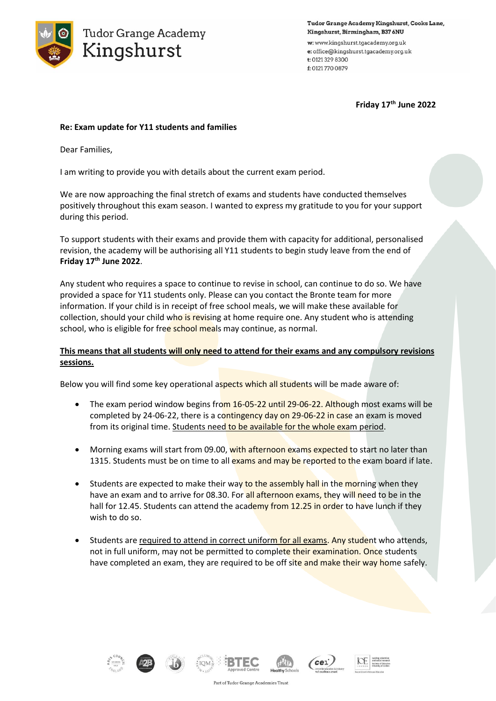

Tudor Grange Academy Kingshurst, Cooks Lane, Kingshurst, Birmingham, B37 6NU

w: www.kingshurst.tgacademy.org.uk e: office@kingshurst.tgacademy.org.uk t: 0121 329 8300 f: 0121 770 0879

**Friday 17th June 2022**

## **Re: Exam update for Y11 students and families**

Dear Families,

I am writing to provide you with details about the current exam period.

We are now approaching the final stretch of exams and students have conducted themselves positively throughout this exam season. I wanted to express my gratitude to you for your support during this period.

To support students with their exams and provide them with capacity for additional, personalised revision, the academy will be authorising all Y11 students to begin study leave from the end of **Friday 17th June 2022**.

Any student who requires a space to continue to revise in school, can continue to do so. We have provided a space for Y11 students only. Please can you contact the Bronte team for more information. If your child is in receipt of free school meals, we will make these available for collection, should your child who is revising at home require one. Any student who is attending school, who is eligible for free school meals may continue, as normal.

## **This means that all students will only need to attend for their exams and any compulsory revisions sessions.**

Below you will find some key operational aspects which all students will be made aware of:

- The exam period window begins from 16-05-22 until 29-06-22. Although most exams will be completed by 24-06-22, there is a contingency day on 29-06-22 in case an exam is moved from its original time. Students need to be available for the whole exam period.
- Morning exams will start from 09.00, with afternoon exams expected to start no later than 1315. Students must be on time to all exams and may be reported to the exam board if late.
- Students are expected to make their way to the assembly hall in the morning when they have an exam and to arrive for 08.30. For all afternoon exams, they will need to be in the hall for 12.45. Students can attend the academy from 12.25 in order to have lunch if they wish to do so.
- Students are required to attend in correct uniform for all exams. Any student who attends, not in full uniform, may not be permitted to complete their examination. Once students have completed an exam, they are required to be off site and make their way home safely.













Part of Tudor Grange Academies Trust